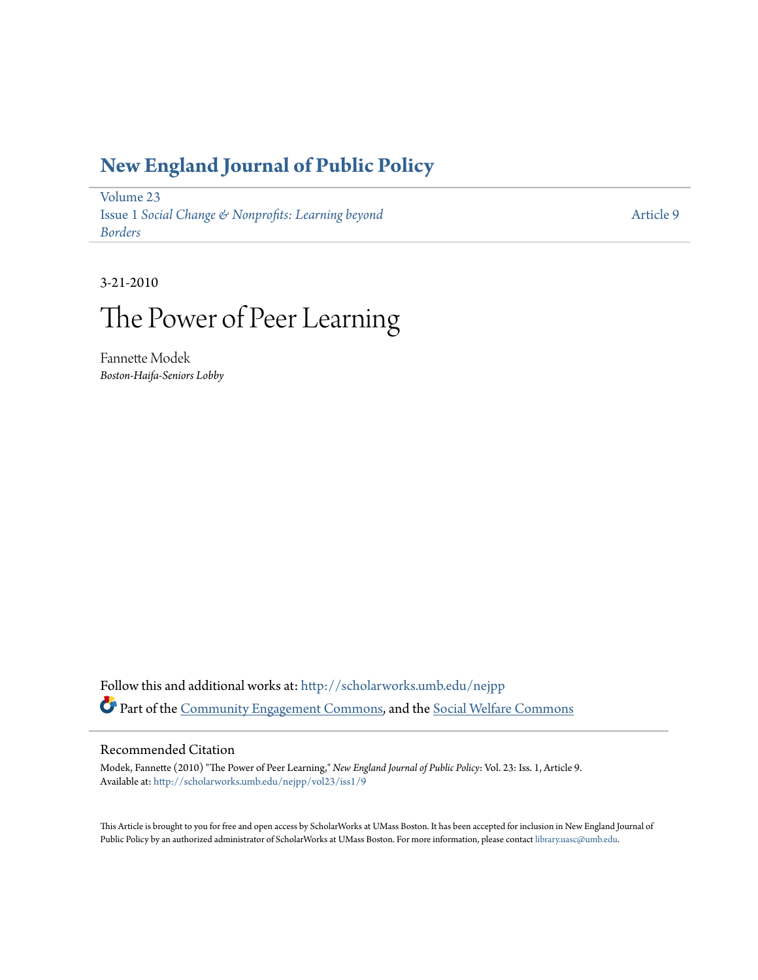### **[New England Journal of Public Policy](http://scholarworks.umb.edu/nejpp?utm_source=scholarworks.umb.edu%2Fnejpp%2Fvol23%2Fiss1%2F9&utm_medium=PDF&utm_campaign=PDFCoverPages)**

[Volume 23](http://scholarworks.umb.edu/nejpp/vol23?utm_source=scholarworks.umb.edu%2Fnejpp%2Fvol23%2Fiss1%2F9&utm_medium=PDF&utm_campaign=PDFCoverPages) Issue 1 *[Social Change & Nonprofits: Learning beyond](http://scholarworks.umb.edu/nejpp/vol23/iss1?utm_source=scholarworks.umb.edu%2Fnejpp%2Fvol23%2Fiss1%2F9&utm_medium=PDF&utm_campaign=PDFCoverPages) [Borders](http://scholarworks.umb.edu/nejpp/vol23/iss1?utm_source=scholarworks.umb.edu%2Fnejpp%2Fvol23%2Fiss1%2F9&utm_medium=PDF&utm_campaign=PDFCoverPages)*

[Article 9](http://scholarworks.umb.edu/nejpp/vol23/iss1/9?utm_source=scholarworks.umb.edu%2Fnejpp%2Fvol23%2Fiss1%2F9&utm_medium=PDF&utm_campaign=PDFCoverPages)

3-21-2010

# The Power of Peer Learning

Fannette Modek *Boston-Haifa-Seniors Lobby*

Follow this and additional works at: [http://scholarworks.umb.edu/nejpp](http://scholarworks.umb.edu/nejpp?utm_source=scholarworks.umb.edu%2Fnejpp%2Fvol23%2Fiss1%2F9&utm_medium=PDF&utm_campaign=PDFCoverPages) Part of the [Community Engagement Commons](http://network.bepress.com/hgg/discipline/1028?utm_source=scholarworks.umb.edu%2Fnejpp%2Fvol23%2Fiss1%2F9&utm_medium=PDF&utm_campaign=PDFCoverPages), and the [Social Welfare Commons](http://network.bepress.com/hgg/discipline/401?utm_source=scholarworks.umb.edu%2Fnejpp%2Fvol23%2Fiss1%2F9&utm_medium=PDF&utm_campaign=PDFCoverPages)

#### Recommended Citation

Modek, Fannette (2010) "The Power of Peer Learning," *New England Journal of Public Policy*: Vol. 23: Iss. 1, Article 9. Available at: [http://scholarworks.umb.edu/nejpp/vol23/iss1/9](http://scholarworks.umb.edu/nejpp/vol23/iss1/9?utm_source=scholarworks.umb.edu%2Fnejpp%2Fvol23%2Fiss1%2F9&utm_medium=PDF&utm_campaign=PDFCoverPages)

This Article is brought to you for free and open access by ScholarWorks at UMass Boston. It has been accepted for inclusion in New England Journal of Public Policy by an authorized administrator of ScholarWorks at UMass Boston. For more information, please contact [library.uasc@umb.edu](mailto:library.uasc@umb.edu).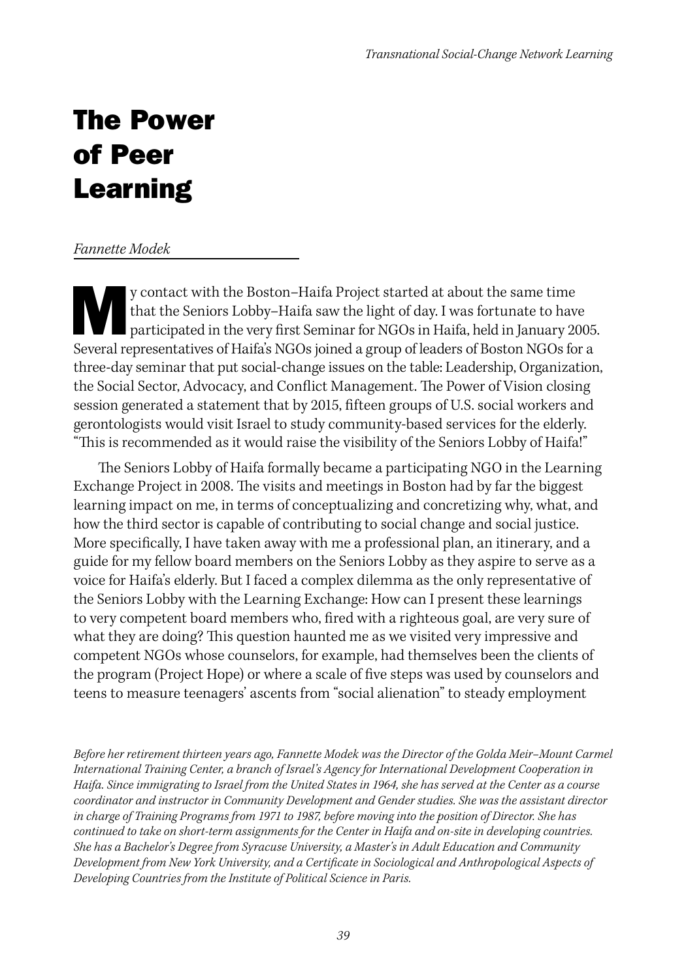## The Power of Peer Learning

#### *Fannette Modek*

y contact with the Boston–Haifa Project started at about the same time<br>that the Seniors Lobby–Haifa saw the light of day. I was fortunate to have<br>participated in the very first Seminar for NGOs in Haifa, held in January 20 that the Seniors Lobby–Haifa saw the light of day. I was fortunate to have Several representatives of Haifa's NGOs joined a group of leaders of Boston NGOs for a three-day seminar that put social-change issues on the table: Leadership, Organization, the Social Sector, Advocacy, and Conflict Management. The Power of Vision closing session generated a statement that by 2015, fifteen groups of U.S. social workers and gerontologists would visit Israel to study community-based services for the elderly. "This is recommended as it would raise the visibility of the Seniors Lobby of Haifa!"

The Seniors Lobby of Haifa formally became a participating NGO in the Learning Exchange Project in 2008. The visits and meetings in Boston had by far the biggest learning impact on me, in terms of conceptualizing and concretizing why, what, and how the third sector is capable of contributing to social change and social justice. More specifically, I have taken away with me a professional plan, an itinerary, and a guide for my fellow board members on the Seniors Lobby as they aspire to serve as a voice for Haifa's elderly. But I faced a complex dilemma as the only representative of the Seniors Lobby with the Learning Exchange: How can I present these learnings to very competent board members who, fired with a righteous goal, are very sure of what they are doing? This question haunted me as we visited very impressive and competent NGOs whose counselors, for example, had themselves been the clients of the program (Project Hope) or where a scale of five steps was used by counselors and teens to measure teenagers' ascents from "social alienation" to steady employment

*Before her retirement thirteen years ago, Fannette Modek was the Director of the Golda Meir–Mount Carmel International Training Center, a branch of Israel's Agency for International Development Cooperation in Haifa. Since immigrating to Israel from the United States in 1964, she has served at the Center as a course coordinator and instructor in Community Development and Gender studies. She was the assistant director in charge of Training Programs from 1971 to 1987, before moving into the position of Director. She has continued to take on short-term assignments for the Center in Haifa and on-site in developing countries. She has a Bachelor's Degree from Syracuse University, a Master's in Adult Education and Community Development from New York University, and a Certificate in Sociological and Anthropological Aspects of Developing Countries from the Institute of Political Science in Paris.*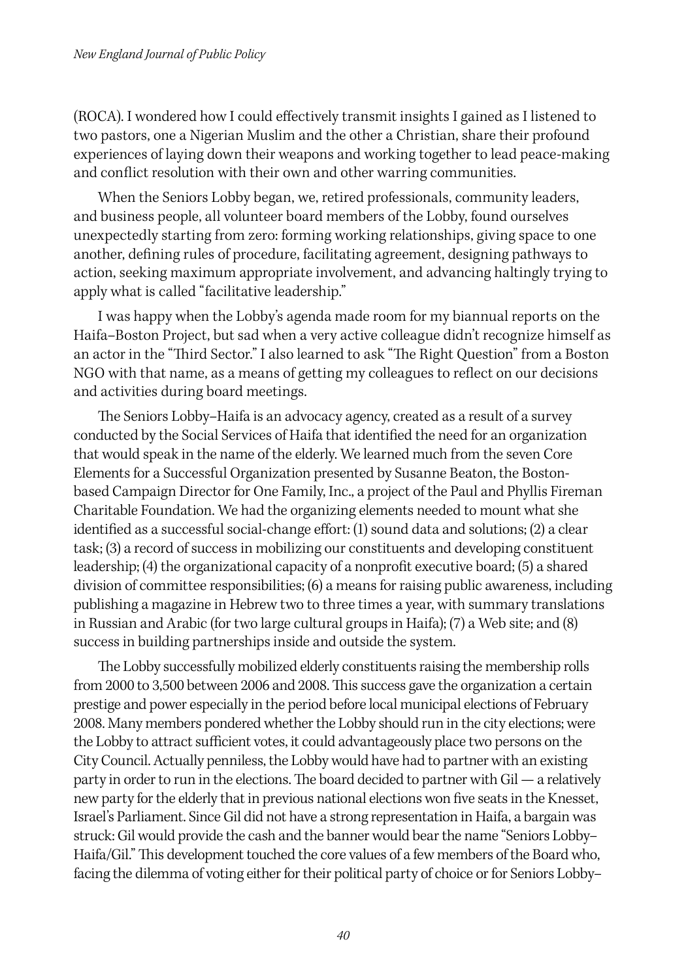(ROCA). I wondered how I could effectively transmit insights I gained as I listened to two pastors, one a Nigerian Muslim and the other a Christian, share their profound experiences of laying down their weapons and working together to lead peace-making and conflict resolution with their own and other warring communities.

When the Seniors Lobby began, we, retired professionals, community leaders, and business people, all volunteer board members of the Lobby, found ourselves unexpectedly starting from zero: forming working relationships, giving space to one another, defining rules of procedure, facilitating agreement, designing pathways to action, seeking maximum appropriate involvement, and advancing haltingly trying to apply what is called "facilitative leadership."

I was happy when the Lobby's agenda made room for my biannual reports on the Haifa–Boston Project, but sad when a very active colleague didn't recognize himself as an actor in the "Third Sector." I also learned to ask "The Right Question" from a Boston NGO with that name, as a means of getting my colleagues to reflect on our decisions and activities during board meetings.

The Seniors Lobby–Haifa is an advocacy agency, created as a result of a survey conducted by the Social Services of Haifa that identified the need for an organization that would speak in the name of the elderly. We learned much from the seven Core Elements for a Successful Organization presented by Susanne Beaton, the Bostonbased Campaign Director for One Family, Inc., a project of the Paul and Phyllis Fireman Charitable Foundation. We had the organizing elements needed to mount what she identified as a successful social-change effort: (1) sound data and solutions; (2) a clear task; (3) a record of success in mobilizing our constituents and developing constituent leadership; (4) the organizational capacity of a nonprofit executive board; (5) a shared division of committee responsibilities; (6) a means for raising public awareness, including publishing a magazine in Hebrew two to three times a year, with summary translations in Russian and Arabic (for two large cultural groups in Haifa); (7) a Web site; and (8) success in building partnerships inside and outside the system.

The Lobby successfully mobilized elderly constituents raising the membership rolls from 2000 to 3,500 between 2006 and 2008. This success gave the organization a certain prestige and power especially in the period before local municipal elections of February 2008. Many members pondered whether the Lobby should run in the city elections; were the Lobby to attract sufficient votes, it could advantageously place two persons on the City Council. Actually penniless, the Lobby would have had to partner with an existing party in order to run in the elections. The board decided to partner with Gil — a relatively new party for the elderly that in previous national elections won five seats in the Knesset, Israel's Parliament. Since Gil did not have a strong representation in Haifa, a bargain was struck: Gil would provide the cash and the banner would bear the name "Seniors Lobby– Haifa/Gil." This development touched the core values of a few members of the Board who, facing the dilemma of voting either for their political party of choice or for Seniors Lobby–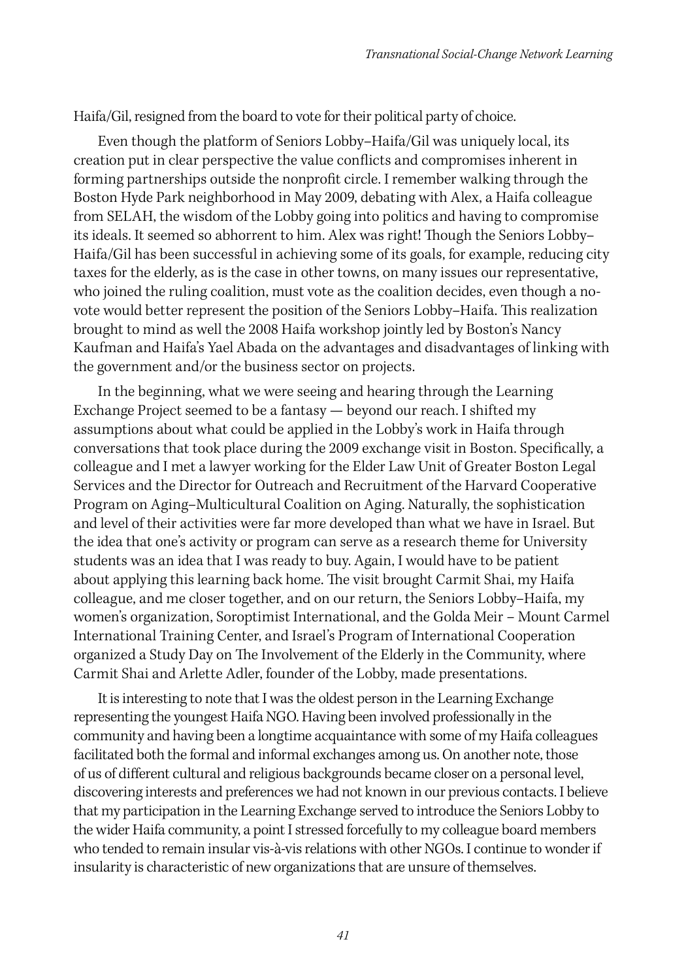Haifa/Gil, resigned from the board to vote for their political party of choice.

Even though the platform of Seniors Lobby–Haifa/Gil was uniquely local, its creation put in clear perspective the value conflicts and compromises inherent in forming partnerships outside the nonprofit circle. I remember walking through the Boston Hyde Park neighborhood in May 2009, debating with Alex, a Haifa colleague from SELAH, the wisdom of the Lobby going into politics and having to compromise its ideals. It seemed so abhorrent to him. Alex was right! Though the Seniors Lobby– Haifa/Gil has been successful in achieving some of its goals, for example, reducing city taxes for the elderly, as is the case in other towns, on many issues our representative, who joined the ruling coalition, must vote as the coalition decides, even though a novote would better represent the position of the Seniors Lobby–Haifa. This realization brought to mind as well the 2008 Haifa workshop jointly led by Boston's Nancy Kaufman and Haifa's Yael Abada on the advantages and disadvantages of linking with the government and/or the business sector on projects.

In the beginning, what we were seeing and hearing through the Learning Exchange Project seemed to be a fantasy — beyond our reach. I shifted my assumptions about what could be applied in the Lobby's work in Haifa through conversations that took place during the 2009 exchange visit in Boston. Specifically, a colleague and I met a lawyer working for the Elder Law Unit of Greater Boston Legal Services and the Director for Outreach and Recruitment of the Harvard Cooperative Program on Aging–Multicultural Coalition on Aging. Naturally, the sophistication and level of their activities were far more developed than what we have in Israel. But the idea that one's activity or program can serve as a research theme for University students was an idea that I was ready to buy. Again, I would have to be patient about applying this learning back home. The visit brought Carmit Shai, my Haifa colleague, and me closer together, and on our return, the Seniors Lobby–Haifa, my women's organization, Soroptimist International, and the Golda Meir – Mount Carmel International Training Center, and Israel's Program of International Cooperation organized a Study Day on The Involvement of the Elderly in the Community, where Carmit Shai and Arlette Adler, founder of the Lobby, made presentations.

It is interesting to note that I was the oldest person in the Learning Exchange representing the youngest Haifa NGO. Having been involved professionally in the community and having been a longtime acquaintance with some of my Haifa colleagues facilitated both the formal and informal exchanges among us. On another note, those of us of different cultural and religious backgrounds became closer on a personal level, discovering interests and preferences we had not known in our previous contacts. I believe that my participation in the Learning Exchange served to introduce the Seniors Lobby to the wider Haifa community, a point I stressed forcefully to my colleague board members who tended to remain insular vis-à-vis relations with other NGOs. I continue to wonder if insularity is characteristic of new organizations that are unsure of themselves.